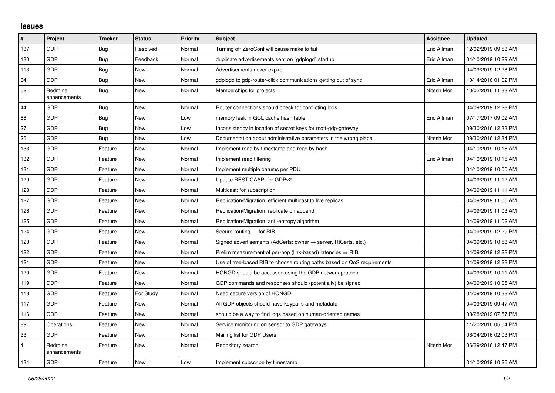## **Issues**

| #              | Project                 | <b>Tracker</b> | <b>Status</b> | <b>Priority</b> | <b>Subject</b>                                                             | Assignee    | <b>Updated</b>      |
|----------------|-------------------------|----------------|---------------|-----------------|----------------------------------------------------------------------------|-------------|---------------------|
| 137            | <b>GDP</b>              | Bug            | Resolved      | Normal          | Turning off ZeroConf will cause make to fail                               | Eric Allman | 12/02/2019 09:58 AM |
| 130            | <b>GDP</b>              | <b>Bug</b>     | Feedback      | Normal          | duplicate advertisements sent on `gdplogd` startup                         | Eric Allman | 04/10/2019 10:29 AM |
| 113            | <b>GDP</b>              | Bug            | <b>New</b>    | Normal          | Advertisements never expire                                                |             | 04/09/2019 12:28 PM |
| 64             | GDP                     | <b>Bug</b>     | <b>New</b>    | Normal          | gdplogd to gdp-router-click communications getting out of sync             | Eric Allman | 10/14/2016 01:02 PM |
| 62             | Redmine<br>enhancements | <b>Bug</b>     | <b>New</b>    | Normal          | Memberships for projects                                                   | Nitesh Mor  | 10/02/2016 11:33 AM |
| 44             | <b>GDP</b>              | <b>Bug</b>     | <b>New</b>    | Normal          | Router connections should check for conflicting logs                       |             | 04/09/2019 12:28 PM |
| 88             | <b>GDP</b>              | <b>Bug</b>     | <b>New</b>    | Low             | memory leak in GCL cache hash table                                        | Eric Allman | 07/17/2017 09:02 AM |
| 27             | <b>GDP</b>              | Bug            | New           | Low             | Inconsistency in location of secret keys for mqtt-gdp-gateway              |             | 09/30/2016 12:33 PM |
| 26             | GDP                     | <b>Bug</b>     | New           | Low             | Documentation about administrative parameters in the wrong place           | Nitesh Mor  | 09/30/2016 12:34 PM |
| 133            | GDP                     | Feature        | <b>New</b>    | Normal          | Implement read by timestamp and read by hash                               |             | 04/10/2019 10:18 AM |
| 132            | GDP                     | Feature        | <b>New</b>    | Normal          | Implement read filtering                                                   | Eric Allman | 04/10/2019 10:15 AM |
| 131            | GDP                     | Feature        | <b>New</b>    | Normal          | Implement multiple datums per PDU                                          |             | 04/10/2019 10:00 AM |
| 129            | <b>GDP</b>              | Feature        | <b>New</b>    | Normal          | Update REST CAAPI for GDPv2                                                |             | 04/09/2019 11:12 AM |
| 128            | <b>GDP</b>              | Feature        | <b>New</b>    | Normal          | Multicast: for subscription                                                |             | 04/09/2019 11:11 AM |
| 127            | GDP                     | Feature        | New           | Normal          | Replication/Migration: efficient multicast to live replicas                |             | 04/09/2019 11:05 AM |
| 126            | <b>GDP</b>              | Feature        | <b>New</b>    | Normal          | Replication/Migration: replicate on append                                 |             | 04/09/2019 11:03 AM |
| 125            | GDP                     | Feature        | <b>New</b>    | Normal          | Replication/Migration: anti-entropy algorithm                              |             | 04/09/2019 11:02 AM |
| 124            | GDP                     | Feature        | <b>New</b>    | Normal          | Secure-routing - for RIB                                                   |             | 04/09/2019 12:29 PM |
| 123            | <b>GDP</b>              | Feature        | <b>New</b>    | Normal          | Signed advertisements (AdCerts: owner $\rightarrow$ server, RtCerts, etc.) |             | 04/09/2019 10:58 AM |
| 122            | <b>GDP</b>              | Feature        | <b>New</b>    | Normal          | Prelim measurement of per-hop (link-based) latencies $\Rightarrow$ RIB     |             | 04/09/2019 12:28 PM |
| 121            | GDP                     | Feature        | <b>New</b>    | Normal          | Use of tree-based RIB to choose routing paths based on QoS requirements    |             | 04/09/2019 12:28 PM |
| 120            | <b>GDP</b>              | Feature        | <b>New</b>    | Normal          | HONGD should be accessed using the GDP network protocol                    |             | 04/09/2019 10:11 AM |
| 119            | <b>GDP</b>              | Feature        | <b>New</b>    | Normal          | GDP commands and responses should (potentially) be signed                  |             | 04/09/2019 10:05 AM |
| 118            | GDP                     | Feature        | For Study     | Normal          | Need secure version of HONGD                                               |             | 04/09/2019 10:38 AM |
| 117            | <b>GDP</b>              | Feature        | <b>New</b>    | Normal          | All GDP objects should have keypairs and metadata                          |             | 04/09/2019 09:47 AM |
| 116            | <b>GDP</b>              | Feature        | <b>New</b>    | Normal          | should be a way to find logs based on human-oriented names                 |             | 03/28/2019 07:57 PM |
| 89             | Operations              | Feature        | <b>New</b>    | Normal          | Service monitoring on sensor to GDP gateways                               |             | 11/20/2016 05:04 PM |
| 33             | <b>GDP</b>              | Feature        | <b>New</b>    | Normal          | Mailing list for GDP Users                                                 |             | 08/04/2016 02:03 PM |
| $\overline{4}$ | Redmine<br>enhancements | Feature        | <b>New</b>    | Normal          | Repository search                                                          | Nitesh Mor  | 06/29/2016 12:47 PM |
| 134            | <b>GDP</b>              | Feature        | <b>New</b>    | Low             | Implement subscribe by timestamp                                           |             | 04/10/2019 10:26 AM |